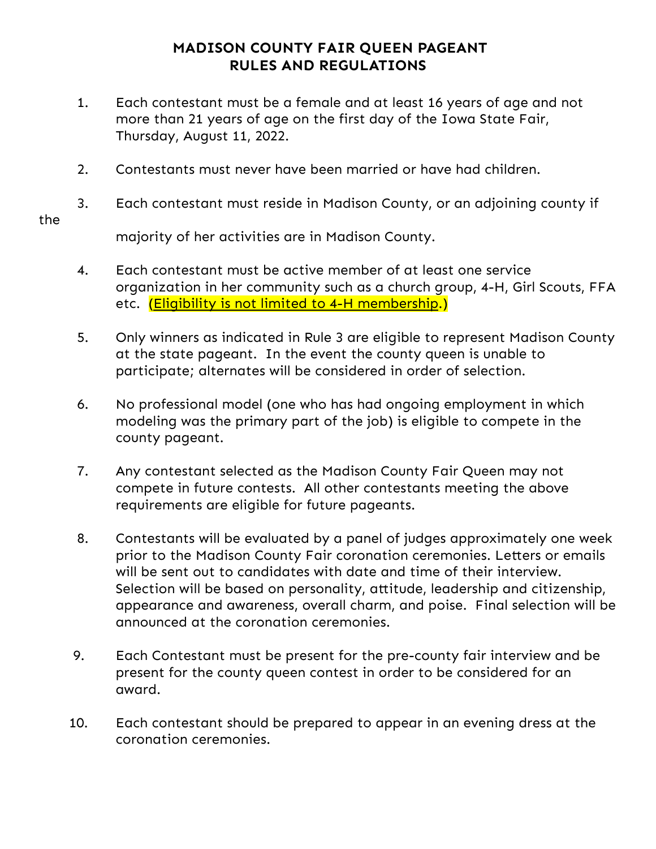## **MADISON COUNTY FAIR QUEEN PAGEANT RULES AND REGULATIONS**

- 1. Each contestant must be a female and at least 16 years of age and not more than 21 years of age on the first day of the Iowa State Fair, Thursday, August 11, 2022.
- 2. Contestants must never have been married or have had children.
- 3. Each contestant must reside in Madison County, or an adjoining county if

majority of her activities are in Madison County.

- 4. Each contestant must be active member of at least one service organization in her community such as a church group, 4-H, Girl Scouts, FFA etc. (Eligibility is not limited to 4-H membership.)
- 5. Only winners as indicated in Rule 3 are eligible to represent Madison County at the state pageant. In the event the county queen is unable to participate; alternates will be considered in order of selection.
- 6. No professional model (one who has had ongoing employment in which modeling was the primary part of the job) is eligible to compete in the county pageant.
- 7. Any contestant selected as the Madison County Fair Queen may not compete in future contests. All other contestants meeting the above requirements are eligible for future pageants.
- 8. Contestants will be evaluated by a panel of judges approximately one week prior to the Madison County Fair coronation ceremonies. Letters or emails will be sent out to candidates with date and time of their interview. Selection will be based on personality, attitude, leadership and citizenship, appearance and awareness, overall charm, and poise. Final selection will be announced at the coronation ceremonies.
- 9. Each Contestant must be present for the pre-county fair interview and be present for the county queen contest in order to be considered for an award.
- 10. Each contestant should be prepared to appear in an evening dress at the coronation ceremonies.

the